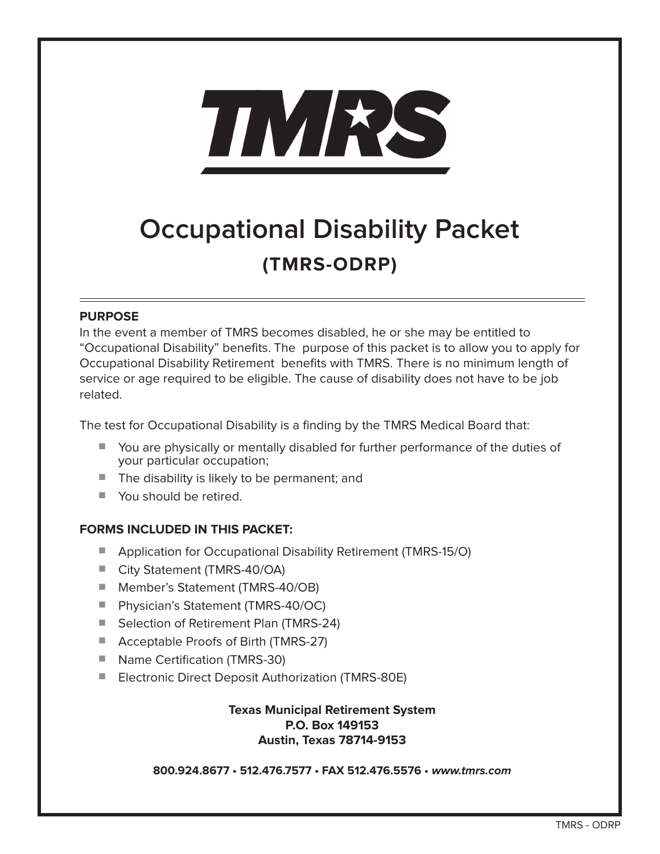

# **Occupational Disability Packet (TMRS-ODRP)**

#### **PURPOSE**

In the event a member of TMRS becomes disabled, he or she may be entitled to "Occupational Disability" benefits. The purpose of this packet is to allow you to apply for Occupational Disability Retirement benefits with TMRS. There is no minimum length of service or age required to be eligible. The cause of disability does not have to be job related.

The test for Occupational Disability is a finding by the TMRS Medical Board that:

- You are physically or mentally disabled for further performance of the duties of your particular occupation;
- The disability is likely to be permanent; and
- You should be retired.

## **FORMS INCLUDED IN THIS PACKET:**

- Application for Occupational Disability Retirement (TMRS-15/O)
- City Statement (TMRS-40/OA)
- Member's Statement (TMRS-40/OB)
- Physician's Statement (TMRS-40/OC)
- Selection of Retirement Plan (TMRS-24)
- Acceptable Proofs of Birth (TMRS-27)
- Name Certification (TMRS-30)
- Electronic Direct Deposit Authorization (TMRS-80E)

**Texas Municipal Retirement System P.O. Box 149153 Austin, Texas 78714-9153**

**800.924.8677 • 512.476.7577 • FAX 512.476.5576 • www.tmrs.com**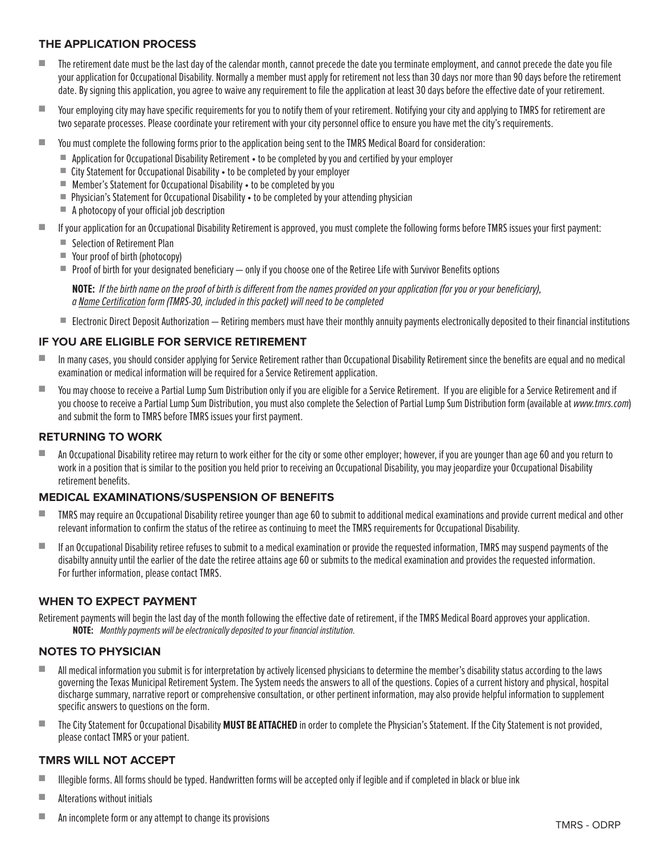#### **THE APPLICATION PROCESS**

- The retirement date must be the last day of the calendar month, cannot precede the date you terminate employment, and cannot precede the date you file your application for Occupational Disability. Normally a member must apply for retirement not less than 30 days nor more than 90 days before the retirement date. By signing this application, you agree to waive any requirement to file the application at least 30 days before the effective date of your retirement.
- Your employing city may have specific requirements for you to notify them of your retirement. Notifying your city and applying to TMRS for retirement are two separate processes. Please coordinate your retirement with your city personnel office to ensure you have met the city's requirements.
- You must complete the following forms prior to the application being sent to the TMRS Medical Board for consideration:
	- Application for Occupational Disability Retirement to be completed by you and certified by your employer
	- City Statement for Occupational Disability to be completed by your employer
	- Member's Statement for Occupational Disability to be completed by you
	- Physician's Statement for Occupational Disability to be completed by your attending physician
	- $\blacksquare$  A photocopy of your official job description
- If your application for an Occupational Disability Retirement is approved, you must complete the following forms before TMRS issues your first payment:
	- Selection of Retirement Plan
	- Your proof of birth (photocopy)
	- $\blacksquare$  Proof of birth for your designated beneficiary  $-$  only if you choose one of the Retiree Life with Survivor Benefits options

**NOTE:** If the birth name on the proof of birth is different from the names provided on your application (for you or your beneficiary), a Name Certification form (TMRS-30, included in this packet) will need to be completed

■ Electronic Direct Deposit Authorization — Retiring members must have their monthly annuity payments electronically deposited to their financial institutions

#### **IF YOU ARE ELIGIBLE FOR SERVICE RETIREMENT**

- In many cases, you should consider applying for Service Retirement rather than Occupational Disability Retirement since the benefits are equal and no medical examination or medical information will be required for a Service Retirement application.
- You may choose to receive a Partial Lump Sum Distribution only if you are eligible for a Service Retirement. If you are eligible for a Service Retirement and if you choose to receive a Partial Lump Sum Distribution, you must also complete the Selection of Partial Lump Sum Distribution form (available at www.tmrs.com) and submit the form to TMRS before TMRS issues your first payment.

#### **RETURNING TO WORK**

■ An Occupational Disability retiree may return to work either for the city or some other employer; however, if you are younger than age 60 and you return to work in a position that is similar to the position you held prior to receiving an Occupational Disability, you may jeopardize your Occupational Disability retirement benefits.

#### **MEDICAL EXAMINATIONS/SUSPENSION OF BENEFITS**

- TMRS may require an Occupational Disability retiree younger than age 60 to submit to additional medical examinations and provide current medical and other relevant information to confirm the status of the retiree as continuing to meet the TMRS requirements for Occupational Disability.
- If an Occupational Disability retiree refuses to submit to a medical examination or provide the requested information, TMRS may suspend payments of the disabilty annuity until the earlier of the date the retiree attains age 60 or submits to the medical examination and provides the requested information. For further information, please contact TMRS.

#### **WHEN TO EXPECT PAYMENT**

Retirement payments will begin the last day of the month following the effective date of retirement, if the TMRS Medical Board approves your application. **NOTE:** Monthly payments will be electronically deposited to your financial institution.

#### **NOTES TO PHYSICIAN**

- All medical information you submit is for interpretation by actively licensed physicians to determine the member's disability status according to the laws governing the Texas Municipal Retirement System. The System needs the answers to all of the questions. Copies of a current history and physical, hospital discharge summary, narrative report or comprehensive consultation, or other pertinent information, may also provide helpful information to supplement specific answers to questions on the form.
- The City Statement for Occupational Disability **MUST BE ATTACHED** in order to complete the Physician's Statement. If the City Statement is not provided, please contact TMRS or your patient.

- Illegible forms. All forms should be typed. Handwritten forms will be accepted only if legible and if completed in black or blue ink
- Alterations without initials
- An incomplete form or any attempt to change its provisions and the set of the set of the set of the set of the S + ODRP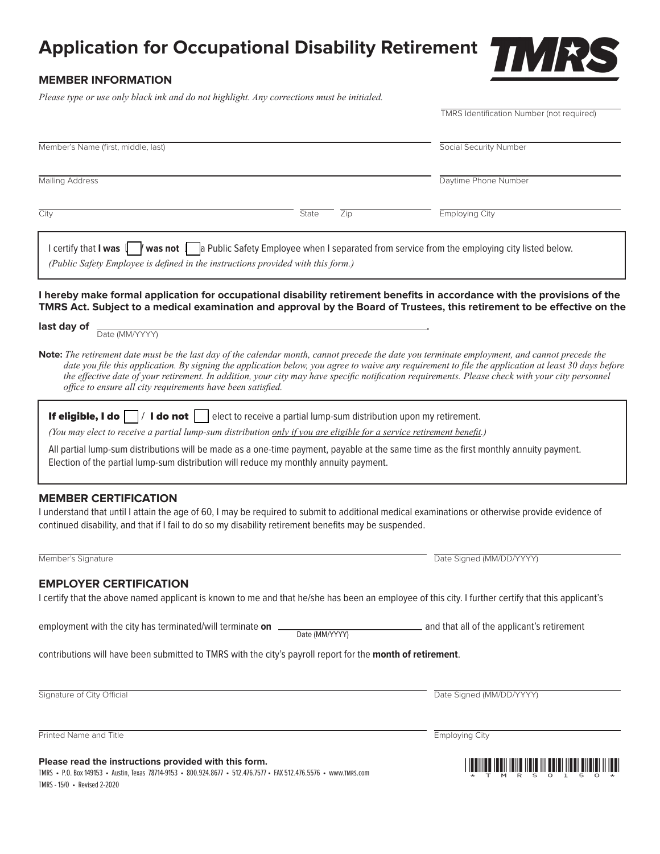# **Application for Occupational Disability Retirement**



#### **MEMBER INFORMATION**

*Please type or use only black ink and do not highlight. Any corrections must be initialed.*

|                                                                                                                                                                                                                                                       |                           | <b>TMRS Identification Number (not required)</b>                                                                                                                                                                                                                                                                                                                                                                                                           |
|-------------------------------------------------------------------------------------------------------------------------------------------------------------------------------------------------------------------------------------------------------|---------------------------|------------------------------------------------------------------------------------------------------------------------------------------------------------------------------------------------------------------------------------------------------------------------------------------------------------------------------------------------------------------------------------------------------------------------------------------------------------|
| Member's Name (first, middle, last)                                                                                                                                                                                                                   |                           | Social Security Number                                                                                                                                                                                                                                                                                                                                                                                                                                     |
| <b>Mailing Address</b>                                                                                                                                                                                                                                |                           | Daytime Phone Number                                                                                                                                                                                                                                                                                                                                                                                                                                       |
| City                                                                                                                                                                                                                                                  | State<br>$\overline{Zip}$ | <b>Employing City</b>                                                                                                                                                                                                                                                                                                                                                                                                                                      |
| I certify that I was $\sqrt{\frac{1}{2}}$ was not $\sqrt{\frac{1}{2}}$ Public Safety Employee when I separated from service from the employing city listed below.<br>(Public Safety Employee is defined in the instructions provided with this form.) |                           |                                                                                                                                                                                                                                                                                                                                                                                                                                                            |
|                                                                                                                                                                                                                                                       |                           |                                                                                                                                                                                                                                                                                                                                                                                                                                                            |
|                                                                                                                                                                                                                                                       |                           | I hereby make formal application for occupational disability retirement benefits in accordance with the provisions of the<br>TMRS Act. Subject to a medical examination and approval by the Board of Trustees, this retirement to be effective on the                                                                                                                                                                                                      |
| last day of<br>Date (MM/YYYY)                                                                                                                                                                                                                         |                           |                                                                                                                                                                                                                                                                                                                                                                                                                                                            |
| office to ensure all city requirements have been satisfied.                                                                                                                                                                                           |                           | Note: The retirement date must be the last day of the calendar month, cannot precede the date you terminate employment, and cannot precede the<br>date you file this application. By signing the application below, you agree to waive any requirement to file the application at least 30 days before<br>the effective date of your retirement. In addition, your city may have specific notification requirements. Please check with your city personnel |
| <b>If eligible, I do</b> $\boxed{\phantom{a}}$ <b>I do not</b> $\phantom{a}$ elect to receive a partial lump-sum distribution upon my retirement.                                                                                                     |                           |                                                                                                                                                                                                                                                                                                                                                                                                                                                            |
| (You may elect to receive a partial lump-sum distribution only if you are eligible for a service retirement benefit.)                                                                                                                                 |                           |                                                                                                                                                                                                                                                                                                                                                                                                                                                            |
| All partial lump-sum distributions will be made as a one-time payment, payable at the same time as the first monthly annuity payment.<br>Election of the partial lump-sum distribution will reduce my monthly annuity payment.                        |                           |                                                                                                                                                                                                                                                                                                                                                                                                                                                            |
| <b>MEMBER CERTIFICATION</b><br>continued disability, and that if I fail to do so my disability retirement benefits may be suspended.                                                                                                                  |                           | I understand that until I attain the age of 60, I may be required to submit to additional medical examinations or otherwise provide evidence of                                                                                                                                                                                                                                                                                                            |
| Member's Signature                                                                                                                                                                                                                                    |                           | Date Signed (MM/DD/YYYY)                                                                                                                                                                                                                                                                                                                                                                                                                                   |
| <b>EMPLOYER CERTIFICATION</b>                                                                                                                                                                                                                         |                           |                                                                                                                                                                                                                                                                                                                                                                                                                                                            |
|                                                                                                                                                                                                                                                       |                           | I certify that the above named applicant is known to me and that he/she has been an employee of this city. I further certify that this applicant's                                                                                                                                                                                                                                                                                                         |
| employment with the city has terminated/will terminate on                                                                                                                                                                                             | Date (MM/YYYY)            | and that all of the applicant's retirement                                                                                                                                                                                                                                                                                                                                                                                                                 |
| contributions will have been submitted to TMRS with the city's payroll report for the month of retirement.                                                                                                                                            |                           |                                                                                                                                                                                                                                                                                                                                                                                                                                                            |
| Signature of City Official                                                                                                                                                                                                                            |                           | Date Signed (MM/DD/YYYY)                                                                                                                                                                                                                                                                                                                                                                                                                                   |
| Printed Name and Title                                                                                                                                                                                                                                |                           | <b>Employing City</b>                                                                                                                                                                                                                                                                                                                                                                                                                                      |
| Please read the instructions provided with this form.<br>TMRS • P.O. Box 149153 • Austin, Texas 78714-9153 • 800.924.8677 • 512.476.7577 • FAX 512.476.5576 • www.TMRS.com<br>TMRS - 15/0 • Revised 2-2020                                            |                           | ADII IDIII IIII III MUUTII                                                                                                                                                                                                                                                                                                                                                                                                                                 |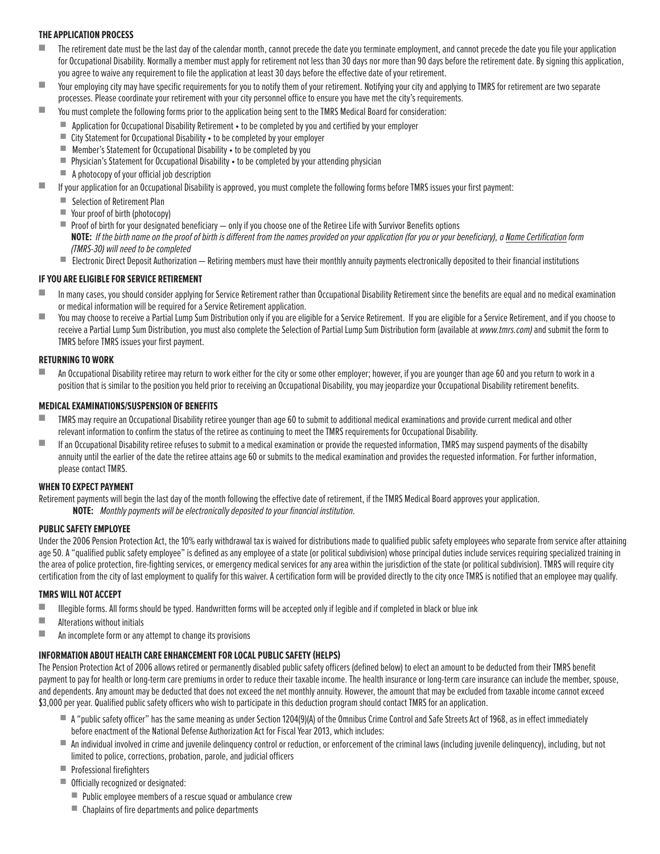#### **THE APPLICATION PROCESS**

- The retirement date must be the last day of the calendar month, cannot precede the date you terminate employment, and cannot precede the date you file your application for Occupational Disability. Normally a member must apply for retirement not less than 30 days nor more than 90 days before the retirement date. By signing this application, you agree to waive any requirement to file the application at least 30 days before the effective date of your retirement.
- Your employing city may have specific requirements for you to notify them of your retirement. Notifying your city and applying to TMRS for retirement are two separate processes. Please coordinate your retirement with your city personnel office to ensure you have met the city's requirements.
- You must complete the following forms prior to the application being sent to the TMRS Medical Board for consideration:
	- Application for Occupational Disability Retirement to be completed by you and certified by your employer
	- City Statement for Occupational Disability to be completed by your employer
	- Member's Statement for Occupational Disability to be completed by you
	- Physician's Statement for Occupational Disability to be completed by your attending physician
	- A photocopy of your official job description
- If your application for an Occupational Disability is approved, you must complete the following forms before TMRS issues your first payment:
	- Selection of Retirement Plan
	- Your proof of birth (photocopy)
	- Proof of birth for your designated beneficiary only if you choose one of the Retiree Life with Survivor Benefits options NOTE: If the birth name on the proof of birth is different from the names provided on your application for you or your beneficiary), a Name Certification form (TMRS-30) will need to be completed
	- Electronic Direct Deposit Authorization Retiring members must have their monthly annuity payments electronically deposited to their financial institutions

#### **IF YOU ARE ELIGIBLE FOR SERVICE RETIREMENT**

- In many cases, you should consider applying for Service Retirement rather than Occupational Disability Retirement since the benefits are equal and no medical examination or medical information will be required for a Service Retirement application.
- You may choose to receive a Partial Lump Sum Distribution only if you are eligible for a Service Retirement. If you are eligible for a Service Retirement, and if you choose to receive a Partial Lump Sum Distribution, you must also complete the Selection of Partial Lump Sum Distribution form (available at www.tmrs.com) and submit the form to TMRS before TMRS issues your first payment.

#### **RETURNING TO WORK**

An Occupational Disability retiree may return to work either for the city or some other employer; however, if you are younger than age 60 and you return to work in a position that is similar to the position you held prior to receiving an Occupational Disability, you may jeopardize your Occupational Disability retirement benefits.

#### **MEDICAL EXAMINATIONS/SUSPENSION OF BENEFITS**

- TMRS may require an Occupational Disability retiree younger than age 60 to submit to additional medical examinations and provide current medical and other relevant information to confirm the status of the retiree as continuing to meet the TMRS requirements for Occupational Disability.
- If an Occupational Disability retiree refuses to submit to a medical examination or provide the requested information, TMRS may suspend payments of the disabilty annuity until the earlier of the date the retiree attains age 60 or submits to the medical examination and provides the requested information. For further information, please contact TMRS.

#### **WHEN TO EXPECT PAYMENT**

Retirement payments will begin the last day of the month following the effective date of retirement, if the TMRS Medical Board approves your application. **NOTE:** Monthly payments will be electronically deposited to your financial institution.

#### **PUBLIC SAFETY EMPLOYEE**

Under the 2006 Pension Protection Act, the 10% early withdrawal tax is waived for distributions made to qualified public safety employees who separate from service after attaining age 50. A "qualified public safety employee" is defined as any employee of a state (or political subdivision) whose principal duties include services requiring specialized training in the area of police protection, fire-fighting services, or emergency medical services for any area within the jurisdiction of the state (or political subdivision). TMRS will require city certification from the city of last employment to qualify for this waiver. A certification form will be provided directly to the city once TMRS is notified that an employee may qualify.

#### **TMRS WILL NOT ACCEPT**

- Illegible forms. All forms should be typed. Handwritten forms will be accepted only if legible and if completed in black or blue ink
- Alterations without initials
- An incomplete form or any attempt to change its provisions

#### **INFORMATION ABOUT HEALTH CARE ENHANCEMENT FOR LOCAL PUBLIC SAFETY (HELPS)**

The Pension Protection Act of 2006 allows retired or permanently disabled public safety officers (defined below) to elect an amount to be deducted from their TMRS benefit payment to pay for health or long-term care premiums in order to reduce their taxable income. The health insurance or long-term care insurance can include the member, spouse, and dependents. Any amount may be deducted that does not exceed the net monthly annuity. However, the amount that may be excluded from taxable income cannot exceed \$3,000 per year. Qualified public safety officers who wish to participate in this deduction program should contact TMRS for an application.

- A "public safety officer" has the same meaning as under Section 1204(9)(A) of the Omnibus Crime Control and Safe Streets Act of 1968, as in effect immediately before enactment of the National Defense Authorization Act for Fiscal Year 2013, which includes:
- An individual involved in crime and juvenile delinquency control or reduction, or enforcement of the criminal laws (including juvenile delinquency), including, but not limited to police, corrections, probation, parole, and judicial officers
- Professional firefighters
- Officially recognized or designated:
	- Public employee members of a rescue squad or ambulance crew
	- Chaplains of fire departments and police departments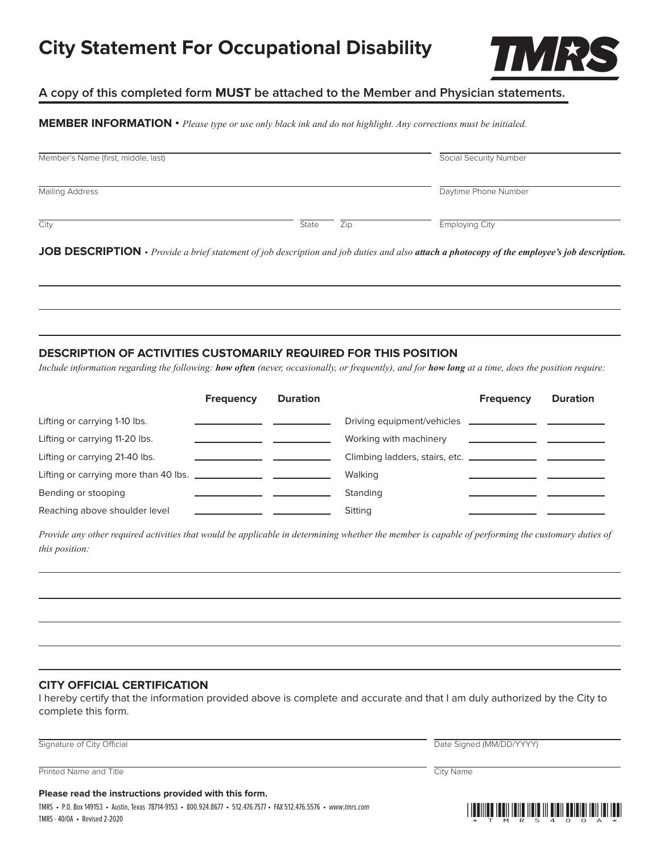# **City Statement For Occupational Disability**



#### **A copy of this completed form MUST be attached to the Member and Physician statements.**

**MEMBER INFORMATION •** *Please type or use only black ink and do not highlight. Any corrections must be initialed.*

| Member's Name (first, middle, last) |       |     | Social Security Number                                                                                                                                           |
|-------------------------------------|-------|-----|------------------------------------------------------------------------------------------------------------------------------------------------------------------|
| <b>Mailing Address</b>              |       |     | Daytime Phone Number                                                                                                                                             |
| City                                | State | Zip | Employing City                                                                                                                                                   |
|                                     |       |     | <b>JOB DESCRIPTION</b> $\cdot$ <i>Provide a brief statement of job description and job duties and also attach a photocopy of the employee's job description.</i> |

#### **DESCRIPTION OF ACTIVITIES CUSTOMARILY REQUIRED FOR THIS POSITION**

*Include information regarding the following: how often (never, occasionally, or frequently), and for how long at a time, does the position require:*

|                                | <b>Frequency</b> | <b>Duration</b> |                                                                 | <b>Frequency</b> | <b>Duration</b> |
|--------------------------------|------------------|-----------------|-----------------------------------------------------------------|------------------|-----------------|
| Lifting or carrying 1-10 lbs.  |                  |                 | Driving equipment/vehicles <b>________________</b> ____________ |                  |                 |
| Lifting or carrying 11-20 lbs. |                  |                 | Working with machinery                                          |                  |                 |
| Lifting or carrying 21-40 lbs. |                  |                 |                                                                 |                  |                 |
|                                |                  |                 | Walking                                                         |                  |                 |
| Bending or stooping            |                  |                 | Standing                                                        |                  |                 |
| Reaching above shoulder level  |                  |                 | Sitting                                                         |                  |                 |

Provide any other required activities that would be applicable in determining whether the member is capable of performing the customary duties of *this position:*

#### **CITY OFFICIAL CERTIFICATION**

I hereby certify that the information provided above is complete and accurate and that I am duly authorized by the City to complete this form.

Signature of City Official Date Signed (MM/DD/YYYY)

Printed Name and Title City Name and Title City Name City Name City Name City Name City Name City Name City Name

**Please read the instructions provided with this form.**

TMRS • P.O. Box 149153 • Austin, Texas 78714-9153 • 800.924.8677 • 512.476.7577 • FAX 512.476.5576 • www.tmrs.com TMRS - 40/OA • Revised 2-2020 \*TMRS40OA\*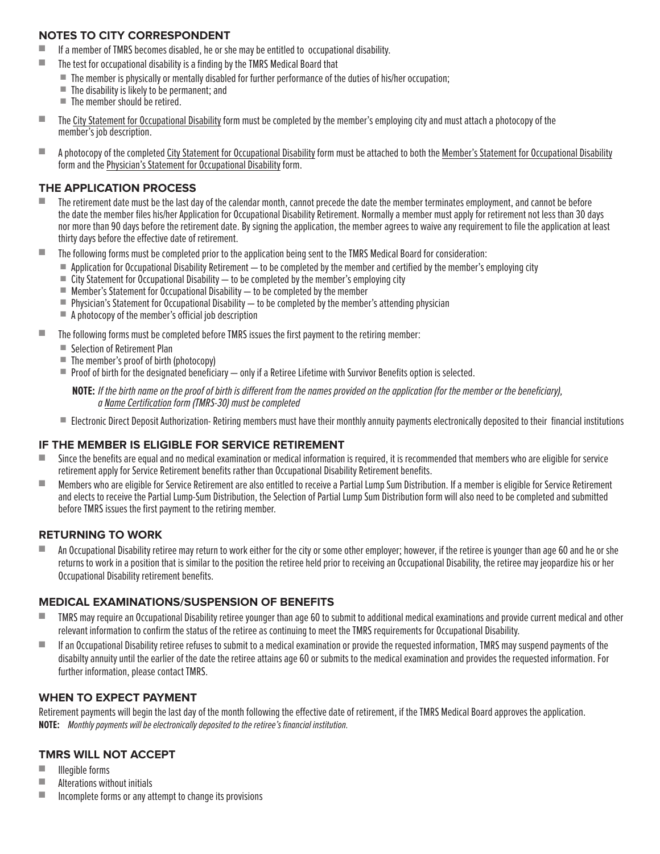#### **NOTES TO CITY CORRESPONDENT**

- If a member of TMRS becomes disabled, he or she may be entitled to occupational disability.
- The test for occupational disability is a finding by the TMRS Medical Board that
	- The member is physically or mentally disabled for further performance of the duties of his/her occupation;
	- $\blacksquare$  The disability is likely to be permanent; and
	- The member should be retired.
- The City Statement for Occupational Disability form must be completed by the member's employing city and must attach a photocopy of the member's job description.
- A photocopy of the completed City Statement for Occupational Disability form must be attached to both the Member's Statement for Occupational Disability form and the Physician's Statement for Occupational Disability form.

#### **THE APPLICATION PROCESS**

- The retirement date must be the last day of the calendar month, cannot precede the date the member terminates employment, and cannot be before the date the member files his/her Application for Occupational Disability Retirement. Normally a member must apply for retirement not less than 30 days nor more than 90 days before the retirement date. By signing the application, the member agrees to waive any requirement to file the application at least thirty days before the effective date of retirement.
- The following forms must be completed prior to the application being sent to the TMRS Medical Board for consideration:
	- $\blacksquare$  Application for Occupational Disability Retirement  $-$  to be completed by the member and certified by the member's employing city
	- $\blacksquare$  City Statement for Occupational Disability  $-$  to be completed by the member's employing city
	- $\blacksquare$  Member's Statement for Occupational Disability  $-$  to be completed by the member
	- $\blacksquare$  Physician's Statement for Occupational Disability to be completed by the member's attending physician
	- A photocopy of the member's official job description
- The following forms must be completed before TMRS issues the first payment to the retiring member:
	- Selection of Retirement Plan
	- The member's proof of birth (photocopy)
	- Proof of birth for the designated beneficiary only if a Retiree Lifetime with Survivor Benefits option is selected.
		- **NOTE:** If the birth name on the proof of birth is different from the names provided on the application (for the member or the beneficiary), a Name Certification form (TMRS-30) must be completed
	- Electronic Direct Deposit Authorization- Retiring members must have their monthly annuity payments electronically deposited to their financial institutions

#### **IF THE MEMBER IS ELIGIBLE FOR SERVICE RETIREMENT**

- Since the benefits are equal and no medical examination or medical information is required, it is recommended that members who are eligible for service retirement apply for Service Retirement benefits rather than Occupational Disability Retirement benefits.
- Members who are eligible for Service Retirement are also entitled to receive a Partial Lump Sum Distribution. If a member is eligible for Service Retirement and elects to receive the Partial Lump-Sum Distribution, the Selection of Partial Lump Sum Distribution form will also need to be completed and submitted before TMRS issues the first payment to the retiring member.

#### **RETURNING TO WORK**

An Occupational Disability retiree may return to work either for the city or some other employer; however, if the retiree is younger than age 60 and he or she returns to work in a position that is similar to the position the retiree held prior to receiving an Occupational Disability, the retiree may jeopardize his or her Occupational Disability retirement benefits.

#### **MEDICAL EXAMINATIONS/SUSPENSION OF BENEFITS**

- TMRS may require an Occupational Disability retiree younger than age 60 to submit to additional medical examinations and provide current medical and other relevant information to confirm the status of the retiree as continuing to meet the TMRS requirements for Occupational Disability.
- If an Occupational Disability retiree refuses to submit to a medical examination or provide the requested information, TMRS may suspend payments of the disabilty annuity until the earlier of the date the retiree attains age 60 or submits to the medical examination and provides the requested information. For further information, please contact TMRS.

#### **WHEN TO EXPECT PAYMENT**

Retirement payments will begin the last day of the month following the effective date of retirement, if the TMRS Medical Board approves the application. **NOTE:** Monthly payments will be electronically deposited to the retiree's financial institution.

- Illegible forms
- Alterations without initials
- Incomplete forms or any attempt to change its provisions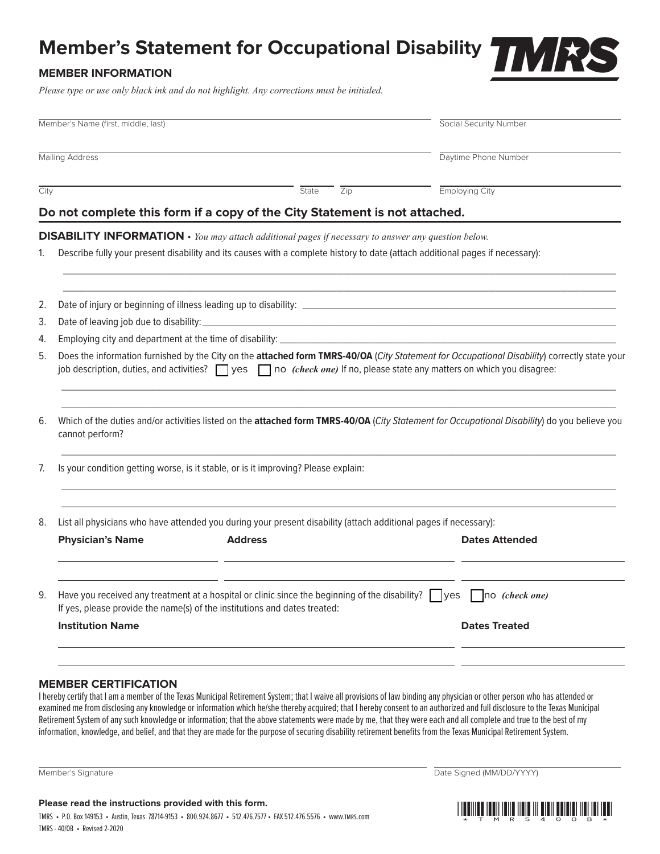# **Member's Statement for Occupational Disability**

## **MEMBER INFORMATION**

*Please type or use only black ink and do not highlight. Any corrections must be initialed.*

|      | Member's Name (first, middle, last)                                                                                                                                                                                                                                                     |                                                                                                                               | Social Security Number                                                                                                                       |  |  |  |
|------|-----------------------------------------------------------------------------------------------------------------------------------------------------------------------------------------------------------------------------------------------------------------------------------------|-------------------------------------------------------------------------------------------------------------------------------|----------------------------------------------------------------------------------------------------------------------------------------------|--|--|--|
|      | <b>Mailing Address</b>                                                                                                                                                                                                                                                                  |                                                                                                                               | Daytime Phone Number                                                                                                                         |  |  |  |
| City |                                                                                                                                                                                                                                                                                         | State<br>$\overline{Zip}$                                                                                                     | Employing City                                                                                                                               |  |  |  |
|      |                                                                                                                                                                                                                                                                                         | Do not complete this form if a copy of the City Statement is not attached.                                                    |                                                                                                                                              |  |  |  |
|      |                                                                                                                                                                                                                                                                                         | <b>DISABILITY INFORMATION</b> $\cdot$ You may attach additional pages if necessary to answer any question below.              |                                                                                                                                              |  |  |  |
| 1.   |                                                                                                                                                                                                                                                                                         | Describe fully your present disability and its causes with a complete history to date (attach additional pages if necessary): |                                                                                                                                              |  |  |  |
| 2.   |                                                                                                                                                                                                                                                                                         |                                                                                                                               |                                                                                                                                              |  |  |  |
| 3.   |                                                                                                                                                                                                                                                                                         |                                                                                                                               |                                                                                                                                              |  |  |  |
| 4.   |                                                                                                                                                                                                                                                                                         |                                                                                                                               |                                                                                                                                              |  |  |  |
| 5.   | Does the information furnished by the City on the attached form TMRS-40/OA (City Statement for Occupational Disability) correctly state your<br>job description, duties, and activities? $\Box$ yes $\Box$ no <i>(check one)</i> If no, please state any matters on which you disagree: |                                                                                                                               |                                                                                                                                              |  |  |  |
| 6.   | cannot perform?                                                                                                                                                                                                                                                                         |                                                                                                                               | Which of the duties and/or activities listed on the attached form TMRS-40/OA (City Statement for Occupational Disability) do you believe you |  |  |  |
| 7.   | Is your condition getting worse, is it stable, or is it improving? Please explain:                                                                                                                                                                                                      |                                                                                                                               |                                                                                                                                              |  |  |  |
| 8.   |                                                                                                                                                                                                                                                                                         | List all physicians who have attended you during your present disability (attach additional pages if necessary):              |                                                                                                                                              |  |  |  |
|      | <b>Physician's Name</b>                                                                                                                                                                                                                                                                 | <b>Address</b>                                                                                                                | <b>Dates Attended</b>                                                                                                                        |  |  |  |
| 9.   | If yes, please provide the name(s) of the institutions and dates treated:                                                                                                                                                                                                               | Have you received any treatment at a hospital or clinic since the beginning of the disability? $\Box$ yes                     | $\vert$ $\vert$ no <i>(check one)</i>                                                                                                        |  |  |  |
|      | <b>Institution Name</b>                                                                                                                                                                                                                                                                 |                                                                                                                               | <b>Dates Treated</b>                                                                                                                         |  |  |  |
|      |                                                                                                                                                                                                                                                                                         |                                                                                                                               |                                                                                                                                              |  |  |  |
|      |                                                                                                                                                                                                                                                                                         |                                                                                                                               |                                                                                                                                              |  |  |  |

#### **MEMBER CERTIFICATION**

I hereby certify that I am a member of the Texas Municipal Retirement System; that I waive all provisions of law binding any physician or other person who has attended or examined me from disclosing any knowledge or information which he/she thereby acquired; that I hereby consent to an authorized and full disclosure to the Texas Municipal Retirement System of any such knowledge or information; that the above statements were made by me, that they were each and all complete and true to the best of my information, knowledge, and belief, and that they are made for the purpose of securing disability retirement benefits from the Texas Municipal Retirement System.

**Please read the instructions provided with this form.**

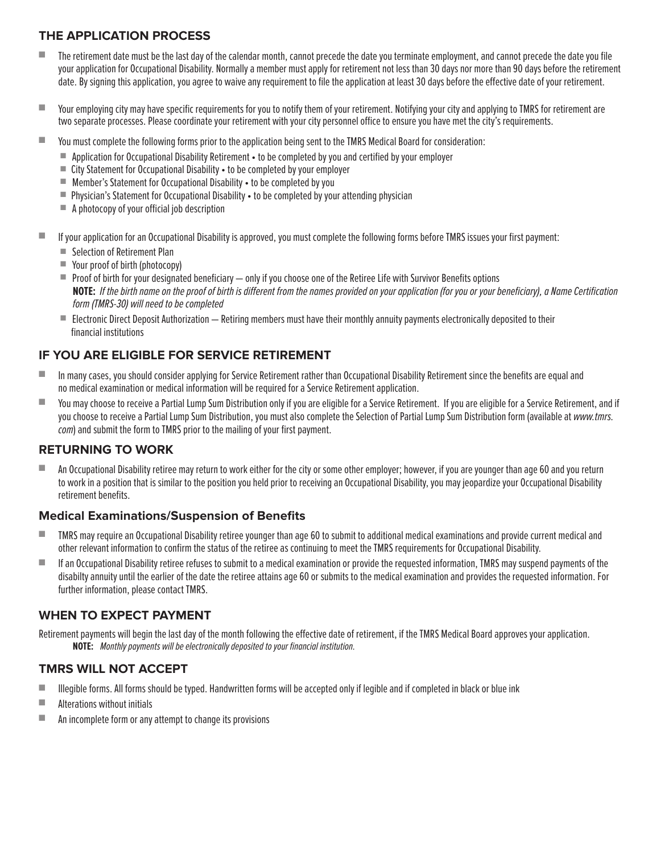## **THE APPLICATION PROCESS**

- The retirement date must be the last day of the calendar month, cannot precede the date you terminate employment, and cannot precede the date you file your application for Occupational Disability. Normally a member must apply for retirement not less than 30 days nor more than 90 days before the retirement date. By signing this application, you agree to waive any requirement to file the application at least 30 days before the effective date of your retirement.
- Your employing city may have specific requirements for you to notify them of your retirement. Notifying your city and applying to TMRS for retirement are two separate processes. Please coordinate your retirement with your city personnel office to ensure you have met the city's requirements.
- You must complete the following forms prior to the application being sent to the TMRS Medical Board for consideration:
	- Application for Occupational Disability Retirement to be completed by you and certified by your employer
	- City Statement for Occupational Disability to be completed by your employer
	- Member's Statement for Occupational Disability to be completed by you
	- Physician's Statement for Occupational Disability to be completed by your attending physician
	- A photocopy of your official job description
- If your application for an Occupational Disability is approved, you must complete the following forms before TMRS issues your first payment:
	- Selection of Retirement Plan
	- Your proof of birth (photocopy)
	- Proof of birth for your designated beneficiary only if you choose one of the Retiree Life with Survivor Benefits options **NOTE:** If the birth name on the proof of birth is different from the names provided on your application (for you or your beneficiary), a Name Certification form (TMRS-30) will need to be completed
	- Electronic Direct Deposit Authorization Retiring members must have their monthly annuity payments electronically deposited to their financial institutions

## **IF YOU ARE ELIGIBLE FOR SERVICE RETIREMENT**

- In many cases, you should consider applying for Service Retirement rather than Occupational Disability Retirement since the benefits are equal and no medical examination or medical information will be required for a Service Retirement application.
- You may choose to receive a Partial Lump Sum Distribution only if you are eligible for a Service Retirement. If you are eligible for a Service Retirement, and if you choose to receive a Partial Lump Sum Distribution, you must also complete the Selection of Partial Lump Sum Distribution form (available at www.tmrs. com) and submit the form to TMRS prior to the mailing of your first payment.

#### **RETURNING TO WORK**

■ An Occupational Disability retiree may return to work either for the city or some other employer; however, if you are younger than age 60 and you return to work in a position that is similar to the position you held prior to receiving an Occupational Disability, you may jeopardize your Occupational Disability retirement benefits.

#### **Medical Examinations/Suspension of Benefits**

- TMRS may require an Occupational Disability retiree younger than age 60 to submit to additional medical examinations and provide current medical and other relevant information to confirm the status of the retiree as continuing to meet the TMRS requirements for Occupational Disability.
- If an Occupational Disability retiree refuses to submit to a medical examination or provide the requested information, TMRS may suspend payments of the disabilty annuity until the earlier of the date the retiree attains age 60 or submits to the medical examination and provides the requested information. For further information, please contact TMRS.

#### **WHEN TO EXPECT PAYMENT**

Retirement payments will begin the last day of the month following the effective date of retirement, if the TMRS Medical Board approves your application. **NOTE:** Monthly payments will be electronically deposited to your financial institution.

- Illegible forms. All forms should be typed. Handwritten forms will be accepted only if legible and if completed in black or blue ink
- Alterations without initials
- An incomplete form or any attempt to change its provisions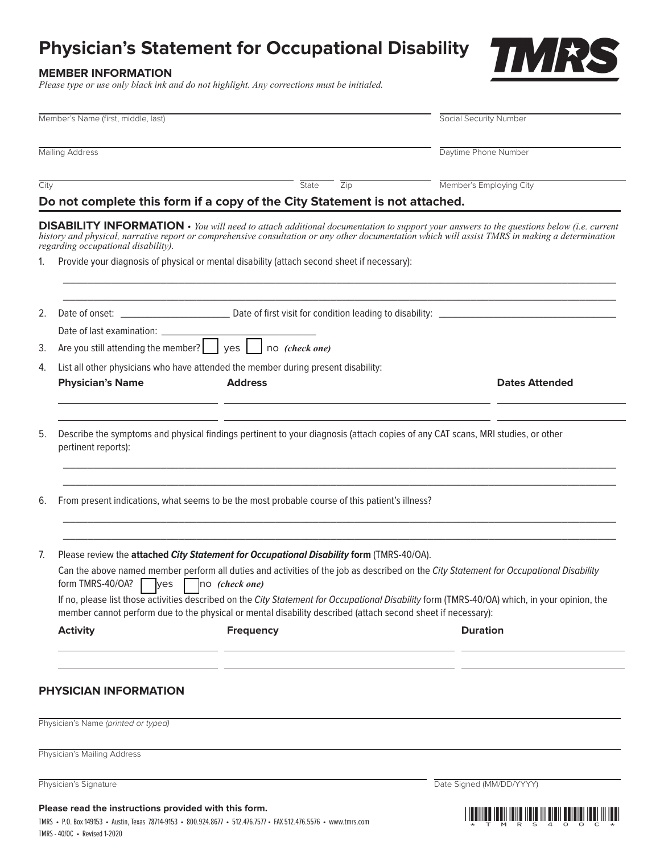# **Physician's Statement for Occupational Disability**

#### **MEMBER INFORMATION**

*Please type or use only black ink and do not highlight. Any corrections must be initialed.*

|      | Member's Name (first, middle, last)                                           |                                                                                                                                                                                                                            | Social Security Number                                                                                                                                                                                                                                                                                  |
|------|-------------------------------------------------------------------------------|----------------------------------------------------------------------------------------------------------------------------------------------------------------------------------------------------------------------------|---------------------------------------------------------------------------------------------------------------------------------------------------------------------------------------------------------------------------------------------------------------------------------------------------------|
|      | <b>Mailing Address</b>                                                        |                                                                                                                                                                                                                            | Daytime Phone Number                                                                                                                                                                                                                                                                                    |
| City |                                                                               | State<br>$\overline{Zip}$<br>Do not complete this form if a copy of the City Statement is not attached.                                                                                                                    | Member's Employing City                                                                                                                                                                                                                                                                                 |
|      | regarding occupational disability).                                           |                                                                                                                                                                                                                            | <b>DISABILITY INFORMATION</b> $\cdot$ You will need to attach additional documentation to support your answers to the questions below (i.e. current<br>history and physical, narrative report or comprehensive consultation or any other documentation which will assist TMRS in making a determination |
| 1.   |                                                                               | Provide your diagnosis of physical or mental disability (attach second sheet if necessary):                                                                                                                                |                                                                                                                                                                                                                                                                                                         |
| 2.   |                                                                               |                                                                                                                                                                                                                            |                                                                                                                                                                                                                                                                                                         |
|      | Date of last examination: ______                                              |                                                                                                                                                                                                                            |                                                                                                                                                                                                                                                                                                         |
| 3.   | Are you still attending the member? $\vert$ yes $\vert$ no <i>(check one)</i> |                                                                                                                                                                                                                            |                                                                                                                                                                                                                                                                                                         |
| 4.   | <b>Physician's Name</b>                                                       | List all other physicians who have attended the member during present disability:<br><b>Address</b>                                                                                                                        | <b>Dates Attended</b>                                                                                                                                                                                                                                                                                   |
| 5.   | pertinent reports):                                                           |                                                                                                                                                                                                                            | Describe the symptoms and physical findings pertinent to your diagnosis (attach copies of any CAT scans, MRI studies, or other                                                                                                                                                                          |
| 6.   |                                                                               | From present indications, what seems to be the most probable course of this patient's illness?                                                                                                                             |                                                                                                                                                                                                                                                                                                         |
| 7.   | form TMRS-40/OA?<br>yes                                                       | Please review the attached City Statement for Occupational Disability form (TMRS-40/OA).<br>no (check one)<br>member cannot perform due to the physical or mental disability described (attach second sheet if necessary): | Can the above named member perform all duties and activities of the job as described on the City Statement for Occupational Disability<br>If no, please list those activities described on the City Statement for Occupational Disability form (TMRS-40/OA) which, in your opinion, the                 |
|      | <b>Activity</b>                                                               | <b>Frequency</b><br>the control of the control of the control of the control of the control of the control of                                                                                                              | <b>Duration</b>                                                                                                                                                                                                                                                                                         |
|      | PHYSICIAN INFORMATION                                                         |                                                                                                                                                                                                                            |                                                                                                                                                                                                                                                                                                         |
|      | Physician's Name (printed or typed)                                           |                                                                                                                                                                                                                            |                                                                                                                                                                                                                                                                                                         |
|      | Physician's Mailing Address                                                   |                                                                                                                                                                                                                            |                                                                                                                                                                                                                                                                                                         |
|      | Physician's Signature                                                         |                                                                                                                                                                                                                            | Date Signed (MM/DD/YYYY)                                                                                                                                                                                                                                                                                |
|      | Please read the instructions provided with this form.                         |                                                                                                                                                                                                                            |                                                                                                                                                                                                                                                                                                         |

TMRS • P.O. Box 149153 • Austin, Texas 78714-9153 • 800.924.8677 • 512.476.7577 • FAX 512.476.5576 • www.tmrs.com \*TMRS40OC\* TMRS - 40/OC • Revised 1-2020

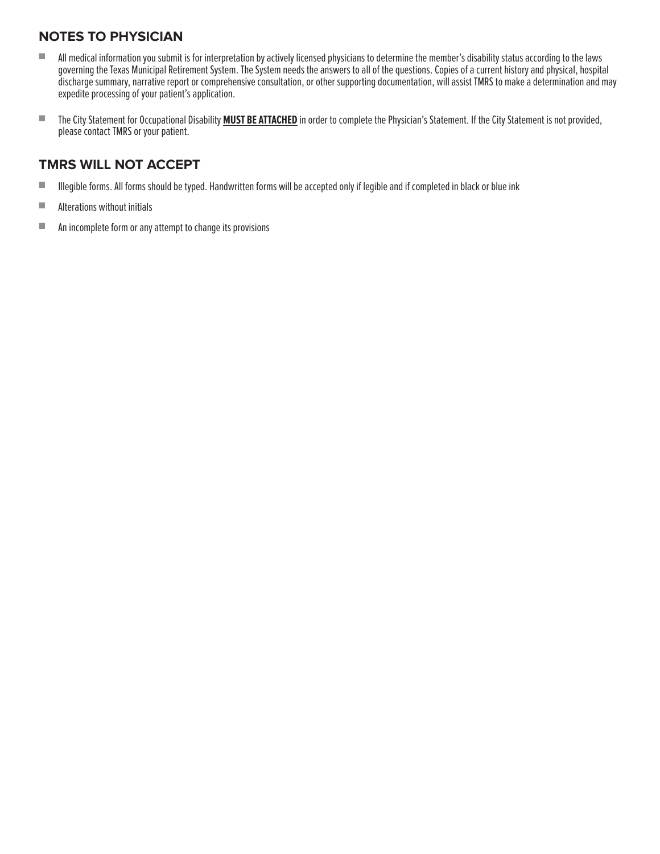# **NOTES TO PHYSICIAN**

- All medical information you submit is for interpretation by actively licensed physicians to determine the member's disability status according to the laws governing the Texas Municipal Retirement System. The System needs the answers to all of the questions. Copies of a current history and physical, hospital discharge summary, narrative report or comprehensive consultation, or other supporting documentation, will assist TMRS to make a determination and may expedite processing of your patient's application.
- The City Statement for Occupational Disability **MUST BE ATTACHED** in order to complete the Physician's Statement. If the City Statement is not provided, please contact TMRS or your patient.

- Illegible forms. All forms should be typed. Handwritten forms will be accepted only if legible and if completed in black or blue ink
- Alterations without initials
- An incomplete form or any attempt to change its provisions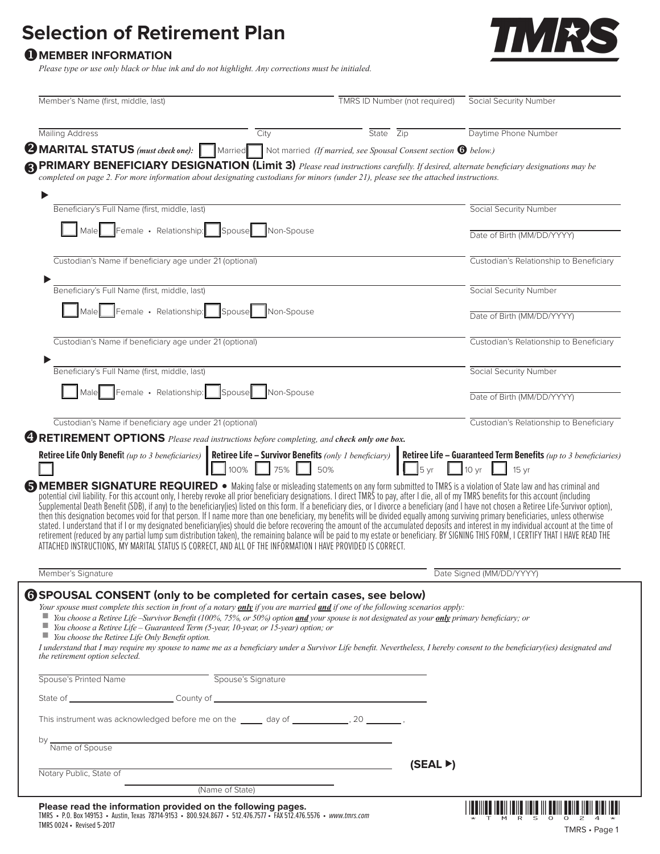# **Selection of Retirement Plan**

# **O** MEMBER INFORMATION

*Please type or use only black or blue ink and do not highlight. Any corrections must be initialed.*



| State Zip<br><b>2 MARITAL STATUS</b> (must check one): Married Not married (If married, see Spousal Consent section <sup>6</sup> below.)                                                                                                                                                                                                                                                                                                                                        | Daytime Phone Number                                                                                                                                                                                                                                                                                                                                                                                                                                                                                                                                                                                                                             |
|---------------------------------------------------------------------------------------------------------------------------------------------------------------------------------------------------------------------------------------------------------------------------------------------------------------------------------------------------------------------------------------------------------------------------------------------------------------------------------|--------------------------------------------------------------------------------------------------------------------------------------------------------------------------------------------------------------------------------------------------------------------------------------------------------------------------------------------------------------------------------------------------------------------------------------------------------------------------------------------------------------------------------------------------------------------------------------------------------------------------------------------------|
|                                                                                                                                                                                                                                                                                                                                                                                                                                                                                 |                                                                                                                                                                                                                                                                                                                                                                                                                                                                                                                                                                                                                                                  |
|                                                                                                                                                                                                                                                                                                                                                                                                                                                                                 |                                                                                                                                                                                                                                                                                                                                                                                                                                                                                                                                                                                                                                                  |
|                                                                                                                                                                                                                                                                                                                                                                                                                                                                                 | <b>SPRIMARY BENEFICIARY DESIGNATION (Limit 3)</b> Please read instructions carefully. If desired, alternate beneficiary designations may be completed on page 2. For more information about designating custodians for minors (unde                                                                                                                                                                                                                                                                                                                                                                                                              |
|                                                                                                                                                                                                                                                                                                                                                                                                                                                                                 | Social Security Number                                                                                                                                                                                                                                                                                                                                                                                                                                                                                                                                                                                                                           |
|                                                                                                                                                                                                                                                                                                                                                                                                                                                                                 | Date of Birth (MM/DD/YYYY)                                                                                                                                                                                                                                                                                                                                                                                                                                                                                                                                                                                                                       |
|                                                                                                                                                                                                                                                                                                                                                                                                                                                                                 | Custodian's Relationship to Beneficiary                                                                                                                                                                                                                                                                                                                                                                                                                                                                                                                                                                                                          |
|                                                                                                                                                                                                                                                                                                                                                                                                                                                                                 | <b>Social Security Number</b>                                                                                                                                                                                                                                                                                                                                                                                                                                                                                                                                                                                                                    |
|                                                                                                                                                                                                                                                                                                                                                                                                                                                                                 | Date of Birth (MM/DD/YYYY)                                                                                                                                                                                                                                                                                                                                                                                                                                                                                                                                                                                                                       |
|                                                                                                                                                                                                                                                                                                                                                                                                                                                                                 | Custodian's Relationship to Beneficiary                                                                                                                                                                                                                                                                                                                                                                                                                                                                                                                                                                                                          |
|                                                                                                                                                                                                                                                                                                                                                                                                                                                                                 | Social Security Number                                                                                                                                                                                                                                                                                                                                                                                                                                                                                                                                                                                                                           |
|                                                                                                                                                                                                                                                                                                                                                                                                                                                                                 | Date of Birth (MM/DD/YYYY)                                                                                                                                                                                                                                                                                                                                                                                                                                                                                                                                                                                                                       |
|                                                                                                                                                                                                                                                                                                                                                                                                                                                                                 | Custodian's Relationship to Beneficiary                                                                                                                                                                                                                                                                                                                                                                                                                                                                                                                                                                                                          |
|                                                                                                                                                                                                                                                                                                                                                                                                                                                                                 | <b>SMEMBER SIGNATURE REQUIRED</b> . Making false or misleading statements on any form submitted to TMRS is a violation of State law and has criminal and                                                                                                                                                                                                                                                                                                                                                                                                                                                                                         |
| ATTACHED INSTRUCTIONS. MY MARITAL STATUS IS CORRECT. AND ALL OF THE INFORMATION I HAVE PROVIDED IS CORRECT.                                                                                                                                                                                                                                                                                                                                                                     | potential civil liability. For this account only, I hereby revoke all prior beneficiary designations. I direct TMRS to pay, after I die, all of my TMRS benefits for this account (including                                                                                                                                                                                                                                                                                                                                                                                                                                                     |
|                                                                                                                                                                                                                                                                                                                                                                                                                                                                                 | Supplemental Death Benefit (SDB), if any) to the beneficiary(ies) listed on this form. If a beneficiary dies, or I divorce a beneficiary (and I have not chosen a Retiree Life-Survivor option), then this designation becomes<br>stated. I understand that if I or my designated beneficiary(ies) should die before recovering the amount of the accumulated deposits and interest in my individual account at the time of<br>retirement (reduced by any partial lump sum distribution taken), the remaining balance will be paid to my estate or beneficiary. BY SIGNING THIS FORM, I CERTIFY THAT I HAVE READ THE<br>Date Signed (MM/DD/YYYY) |
| <b>6 SPOUSAL CONSENT</b> (only to be completed for certain cases, see below)<br>Your spouse must complete this section in front of a notary $\frac{only}{if}$ you are married $\frac{and}{if}$ one of the following scenarios apply:<br>■ You choose a Retiree Life -Survivor Benefit (100%, 75%, or 50%) option and your spouse is not designated as your only primary beneficiary; or<br>You choose a Retiree Life - Guaranteed Term (5-year, 10-year, or 15-year) option; or |                                                                                                                                                                                                                                                                                                                                                                                                                                                                                                                                                                                                                                                  |
|                                                                                                                                                                                                                                                                                                                                                                                                                                                                                 |                                                                                                                                                                                                                                                                                                                                                                                                                                                                                                                                                                                                                                                  |
|                                                                                                                                                                                                                                                                                                                                                                                                                                                                                 | I understand that I may require my spouse to name me as a beneficiary under a Survivor Life benefit. Nevertheless, I hereby consent to the beneficiary(ies) designated and                                                                                                                                                                                                                                                                                                                                                                                                                                                                       |
| This instrument was acknowledged before me on the _____ day of ____________, 20 ________,                                                                                                                                                                                                                                                                                                                                                                                       |                                                                                                                                                                                                                                                                                                                                                                                                                                                                                                                                                                                                                                                  |
|                                                                                                                                                                                                                                                                                                                                                                                                                                                                                 |                                                                                                                                                                                                                                                                                                                                                                                                                                                                                                                                                                                                                                                  |
| (SEAL)                                                                                                                                                                                                                                                                                                                                                                                                                                                                          |                                                                                                                                                                                                                                                                                                                                                                                                                                                                                                                                                                                                                                                  |
|                                                                                                                                                                                                                                                                                                                                                                                                                                                                                 | <b>CRETIREMENT OPTIONS</b> Please read instructions before completing, and check only one box.<br>Retiree Life - Survivor Benefits (only 1 beneficiary)<br>Retiree Life - Guaranteed Term Benefits (up to 3 beneficiaries)<br>50%                                                                                                                                                                                                                                                                                                                                                                                                                |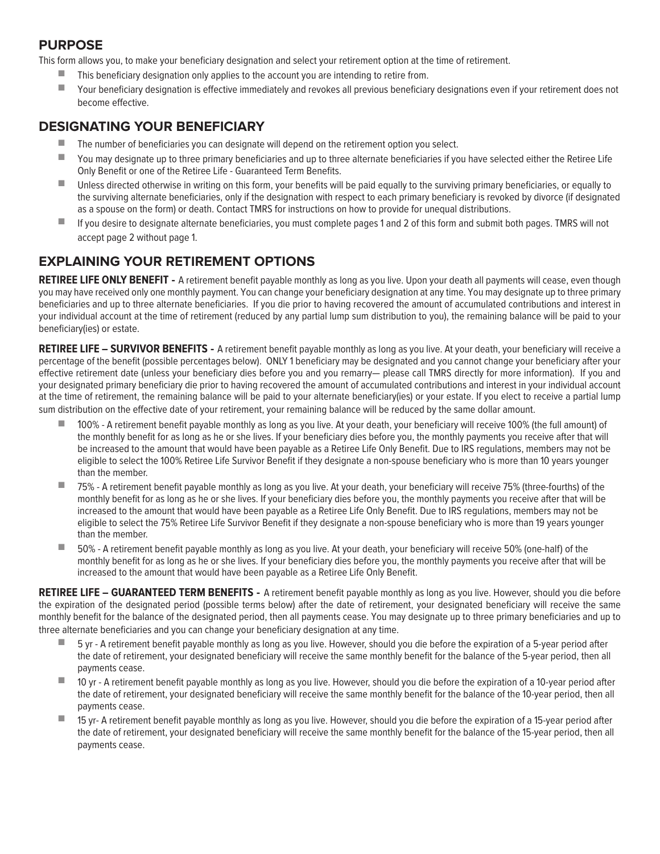# **PURPOSE**

This form allows you, to make your beneficiary designation and select your retirement option at the time of retirement.

- This beneficiary designation only applies to the account you are intending to retire from.
- Your beneficiary designation is effective immediately and revokes all previous beneficiary designations even if your retirement does not become effective.

# **DESIGNATING YOUR BENEFICIARY**

- The number of beneficiaries you can designate will depend on the retirement option you select.
- You may designate up to three primary beneficiaries and up to three alternate beneficiaries if you have selected either the Retiree Life Only Benefit or one of the Retiree Life - Guaranteed Term Benefits.
- Unless directed otherwise in writing on this form, your benefits will be paid equally to the surviving primary beneficiaries, or equally to the surviving alternate beneficiaries, only if the designation with respect to each primary beneficiary is revoked by divorce (if designated as a spouse on the form) or death. Contact TMRS for instructions on how to provide for unequal distributions.
- If you desire to designate alternate beneficiaries, you must complete pages 1 and 2 of this form and submit both pages. TMRS will not accept page 2 without page 1.

# **EXPLAINING YOUR RETIREMENT OPTIONS**

**RETIREE LIFE ONLY BENEFIT -** A retirement benefit payable monthly as long as you live. Upon your death all payments will cease, even though you may have received only one monthly payment. You can change your beneficiary designation at any time. You may designate up to three primary beneficiaries and up to three alternate beneficiaries. If you die prior to having recovered the amount of accumulated contributions and interest in your individual account at the time of retirement (reduced by any partial lump sum distribution to you), the remaining balance will be paid to your beneficiary(ies) or estate.

**RETIREE LIFE – SURVIVOR BENEFITS -** A retirement benefit payable monthly as long as you live. At your death, your beneficiary will receive a percentage of the benefit (possible percentages below). ONLY 1 beneficiary may be designated and you cannot change your beneficiary after your effective retirement date (unless your beneficiary dies before you and you remarry— please call TMRS directly for more information). If you and your designated primary beneficiary die prior to having recovered the amount of accumulated contributions and interest in your individual account at the time of retirement, the remaining balance will be paid to your alternate beneficiary(ies) or your estate. If you elect to receive a partial lump sum distribution on the effective date of your retirement, your remaining balance will be reduced by the same dollar amount.

- 100% A retirement benefit payable monthly as long as you live. At your death, your beneficiary will receive 100% (the full amount) of the monthly benefit for as long as he or she lives. If your beneficiary dies before you, the monthly payments you receive after that will be increased to the amount that would have been payable as a Retiree Life Only Benefit. Due to IRS regulations, members may not be eligible to select the 100% Retiree Life Survivor Benefit if they designate a non-spouse beneficiary who is more than 10 years younger than the member.
- 75% A retirement benefit payable monthly as long as you live. At your death, your beneficiary will receive 75% (three-fourths) of the monthly benefit for as long as he or she lives. If your beneficiary dies before you, the monthly payments you receive after that will be increased to the amount that would have been payable as a Retiree Life Only Benefit. Due to IRS regulations, members may not be eligible to select the 75% Retiree Life Survivor Benefit if they designate a non-spouse beneficiary who is more than 19 years younger than the member.
- 50% A retirement benefit payable monthly as long as you live. At your death, your beneficiary will receive 50% (one-half) of the monthly benefit for as long as he or she lives. If your beneficiary dies before you, the monthly payments you receive after that will be increased to the amount that would have been payable as a Retiree Life Only Benefit.

RETIREE LIFE - GUARANTEED TERM BENEFITS - A retirement benefit payable monthly as long as you live. However, should you die before the expiration of the designated period (possible terms below) after the date of retirement, your designated beneficiary will receive the same monthly benefit for the balance of the designated period, then all payments cease. You may designate up to three primary beneficiaries and up to three alternate beneficiaries and you can change your beneficiary designation at any time.

- 5 yr A retirement benefit payable monthly as long as you live. However, should you die before the expiration of a 5-year period after the date of retirement, your designated beneficiary will receive the same monthly benefit for the balance of the 5-year period, then all payments cease.
- 10 yr A retirement benefit payable monthly as long as you live. However, should you die before the expiration of a 10-year period after the date of retirement, your designated beneficiary will receive the same monthly benefit for the balance of the 10-year period, then all payments cease.
- 15 yr- A retirement benefit payable monthly as long as you live. However, should you die before the expiration of a 15-year period after the date of retirement, your designated beneficiary will receive the same monthly benefit for the balance of the 15-year period, then all payments cease.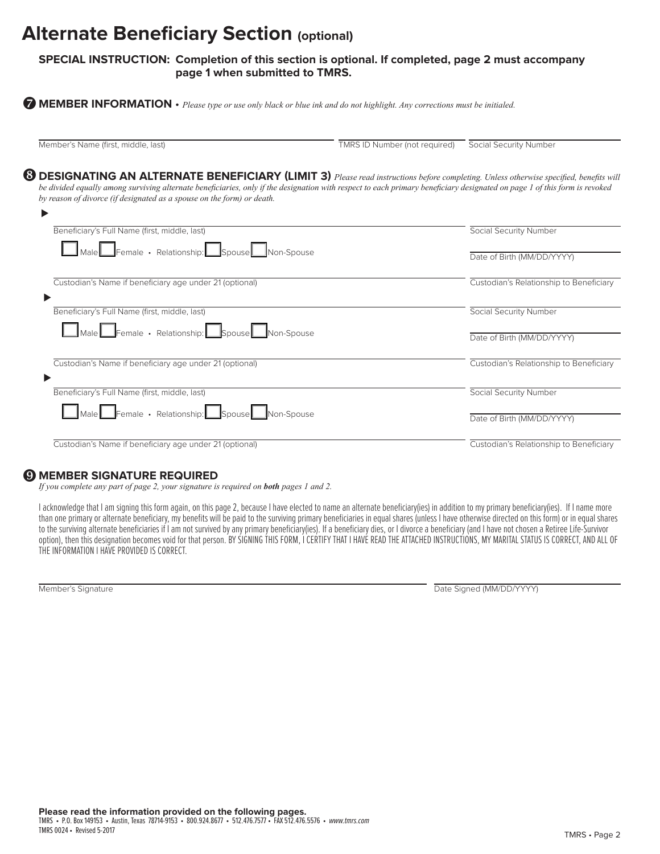# **Alternate Beneficiary Section (optional)**

#### **SPECIAL INSTRUCTION: Completion of this section is optional. If completed, page 2 must accompany page 1 when submitted to TMRS.**

**MEMBER INFORMATION** • *Please type or use only black or blue ink and do not highlight. Any corrections must be initialed.* {

⊲

Member's Name (first, middle, last) TMRS ID Number (not required) Social Security Number

**<sup>3</sup>** DESIGNATING AN ALTERNATE BENEFICIARY (LIMIT 3) *Please read instructions before completing. Unless otherwise specified, benefits will be divided equally among surviving alternate beneficiaries, only if the designation with respect to each primary beneficiary designated on page 1 of this form is revoked by reason of divorce (if designated as a spouse on the form) or death.*

| Beneficiary's Full Name (first, middle, last)           | Social Security Number                  |
|---------------------------------------------------------|-----------------------------------------|
| Male Female · Relationship: Spouse Non-Spouse           |                                         |
|                                                         | Date of Birth (MM/DD/YYYY)              |
| Custodian's Name if beneficiary age under 21 (optional) | Custodian's Relationship to Beneficiary |
| Beneficiary's Full Name (first, middle, last)           | Social Security Number                  |
| Male Female · Relationship: Spouse Non-Spouse           |                                         |
|                                                         | Date of Birth (MM/DD/YYYY)              |
| Custodian's Name if beneficiary age under 21 (optional) | Custodian's Relationship to Beneficiary |
| Beneficiary's Full Name (first, middle, last)           | Social Security Number                  |
| Male Female · Relationship: Spouse Non-Spouse           |                                         |
|                                                         | Date of Birth (MM/DD/YYYY)              |
| Custodian's Name if beneficiary age under 21 (optional) | Custodian's Relationship to Beneficiary |
|                                                         |                                         |

# **@ MEMBER SIGNATURE REQUIRED**

*If you complete any part of page 2, your signature is required on both pages 1 and 2.*

I acknowledge that I am signing this form again, on this page 2, because I have elected to name an alternate beneficiary(ies) in addition to my primary beneficiary(ies). If I name more than one primary or alternate beneficiary, my benefits will be paid to the surviving primary beneficiaries in equal shares (unless I have otherwise directed on this form) or in equal shares to the surviving alternate beneficiaries if I am not survived by any primary beneficiary(ies). If a beneficiary dies, or I divorce a beneficiary (and I have not chosen a Retiree Life-Survivor option), then this designation becomes void for that person. BY SIGNING THIS FORM, I CERTIFY THAT I HAVE READ THE ATTACHED INSTRUCTIONS, MY MARITAL STATUS IS CORRECT, AND ALL OF THE INFORMATION I HAVE PROVIDED IS CORRECT.

Member's Signature Date Signature Date Signature Date Signed (MM/DD/YYYY)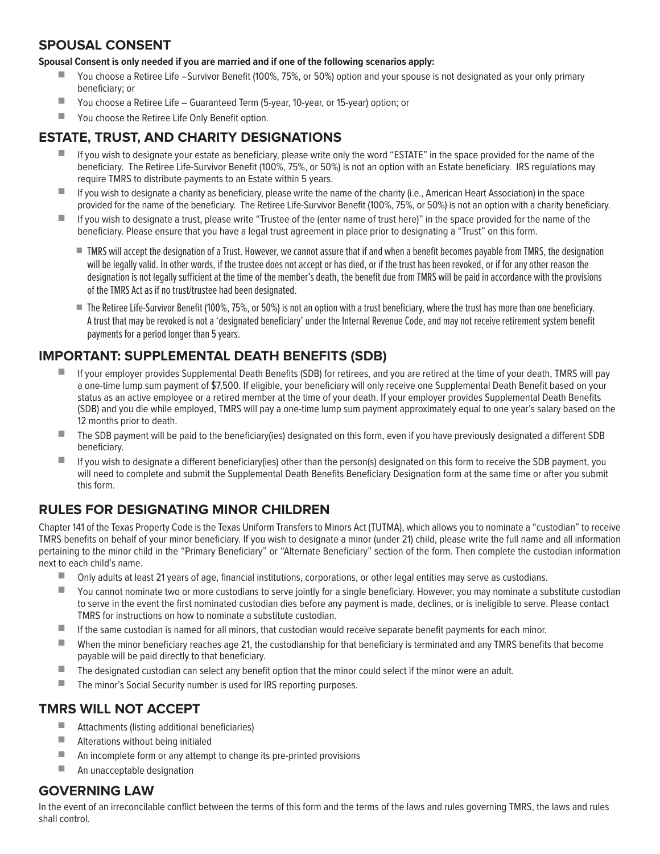## **SPOUSAL CONSENT**

#### **Spousal Consent is only needed if you are married and if one of the following scenarios apply:**

- You choose a Retiree Life –Survivor Benefit (100%, 75%, or 50%) option and your spouse is not designated as your only primary beneficiary; or
- You choose a Retiree Life Guaranteed Term (5-year, 10-year, or 15-year) option; or
- You choose the Retiree Life Only Benefit option.

# **ESTATE, TRUST, AND CHARITY DESIGNATIONS**

- If you wish to designate your estate as beneficiary, please write only the word "ESTATE" in the space provided for the name of the beneficiary. The Retiree Life-Survivor Benefit (100%, 75%, or 50%) is not an option with an Estate beneficiary. IRS regulations may require TMRS to distribute payments to an Estate within 5 years.
- If you wish to designate a charity as beneficiary, please write the name of the charity (i.e., American Heart Association) in the space provided for the name of the beneficiary. The Retiree Life-Survivor Benefit (100%, 75%, or 50%) is not an option with a charity beneficiary.
- If you wish to designate a trust, please write "Trustee of the (enter name of trust here)" in the space provided for the name of the beneficiary. Please ensure that you have a legal trust agreement in place prior to designating a "Trust" on this form.
	- TMRS will accept the designation of a Trust. However, we cannot assure that if and when a benefit becomes payable from TMRS, the designation will be legally valid. In other words, if the trustee does not accept or has died, or if the trust has been revoked, or if for any other reason the designation is not legally sufficient at the time of the member's death, the benefit due from TMRS will be paid in accordance with the provisions of the TMRS Act as if no trust/trustee had been designated.
	- The Retiree Life-Survivor Benefit (100%, 75%, or 50%) is not an option with a trust beneficiary, where the trust has more than one beneficiary. A trust that may be revoked is not a 'designated beneficiary' under the Internal Revenue Code, and may not receive retirement system benefit payments for a period longer than 5 years.

# **IMPORTANT: SUPPLEMENTAL DEATH BENEFITS (SDB)**

- If your employer provides Supplemental Death Benefits (SDB) for retirees, and you are retired at the time of your death, TMRS will pay a one-time lump sum payment of \$7,500. If eligible, your beneficiary will only receive one Supplemental Death Benefit based on your status as an active employee or a retired member at the time of your death. If your employer provides Supplemental Death Benefits (SDB) and you die while employed, TMRS will pay a one-time lump sum payment approximately equal to one year's salary based on the 12 months prior to death.
- The SDB payment will be paid to the beneficiary(ies) designated on this form, even if you have previously designated a different SDB beneficiary.
- If you wish to designate a different beneficiary(ies) other than the person(s) designated on this form to receive the SDB payment, you will need to complete and submit the Supplemental Death Benefits Beneficiary Designation form at the same time or after you submit this form.

# **RULES FOR DESIGNATING MINOR CHILDREN**

Chapter 141 of the Texas Property Code is the Texas Uniform Transfers to Minors Act (TUTMA), which allows you to nominate a "custodian" to receive TMRS benefits on behalf of your minor beneficiary. If you wish to designate a minor (under 21) child, please write the full name and all information pertaining to the minor child in the "Primary Beneficiary" or "Alternate Beneficiary" section of the form. Then complete the custodian information next to each child's name.

- Only adults at least 21 years of age, financial institutions, corporations, or other legal entities may serve as custodians.
- You cannot nominate two or more custodians to serve jointly for a single beneficiary. However, you may nominate a substitute custodian to serve in the event the first nominated custodian dies before any payment is made, declines, or is ineligible to serve. Please contact TMRS for instructions on how to nominate a substitute custodian.
- If the same custodian is named for all minors, that custodian would receive separate benefit payments for each minor.
- When the minor beneficiary reaches age 21, the custodianship for that beneficiary is terminated and any TMRS benefits that become payable will be paid directly to that beneficiary.
- The designated custodian can select any benefit option that the minor could select if the minor were an adult.
- The minor's Social Security number is used for IRS reporting purposes.

## **TMRS WILL NOT ACCEPT**

- Attachments (listing additional beneficiaries)
- Alterations without being initialed
- An incomplete form or any attempt to change its pre-printed provisions
- $\blacksquare$  An unacceptable designation

## **GOVERNING LAW**

In the event of an irreconcilable conflict between the terms of this form and the terms of the laws and rules governing TMRS, the laws and rules shall control.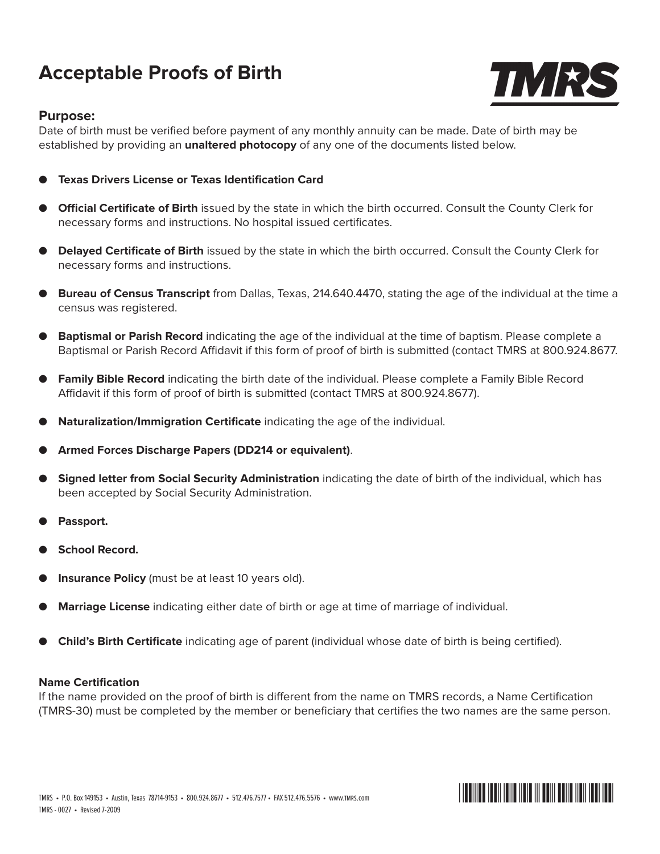# **Acceptable Proofs of Birth**



#### **Purpose:**

Date of birth must be verified before payment of any monthly annuity can be made. Date of birth may be established by providing an **unaltered photocopy** of any one of the documents listed below.

- **Texas Drivers License or Texas Identification Card**
- **Official Certificate of Birth** issued by the state in which the birth occurred. Consult the County Clerk for necessary forms and instructions. No hospital issued certificates.
- **Delayed Certificate of Birth** issued by the state in which the birth occurred. Consult the County Clerk for necessary forms and instructions.
- **Bureau of Census Transcript** from Dallas, Texas, 214.640.4470, stating the age of the individual at the time a census was registered.
- **Baptismal or Parish Record** indicating the age of the individual at the time of baptism. Please complete a Baptismal or Parish Record Affidavit if this form of proof of birth is submitted (contact TMRS at 800.924.8677.
- **Family Bible Record** indicating the birth date of the individual. Please complete a Family Bible Record Affidavit if this form of proof of birth is submitted (contact TMRS at 800.924.8677).
- **Naturalization/Immigration Certificate** indicating the age of the individual.
- **Armed Forces Discharge Papers (DD214 or equivalent)**.
- **Signed letter from Social Security Administration** indicating the date of birth of the individual, which has been accepted by Social Security Administration.
- Passport.
- **School Record.**
- **Insurance Policy** (must be at least 10 years old).
- **Marriage License** indicating either date of birth or age at time of marriage of individual.
- **Child's Birth Certificate** indicating age of parent (individual whose date of birth is being certified).

#### **Name Certification**

If the name provided on the proof of birth is different from the name on TMRS records, a Name Certification (TMRS-30) must be completed by the member or beneficiary that certifies the two names are the same person.

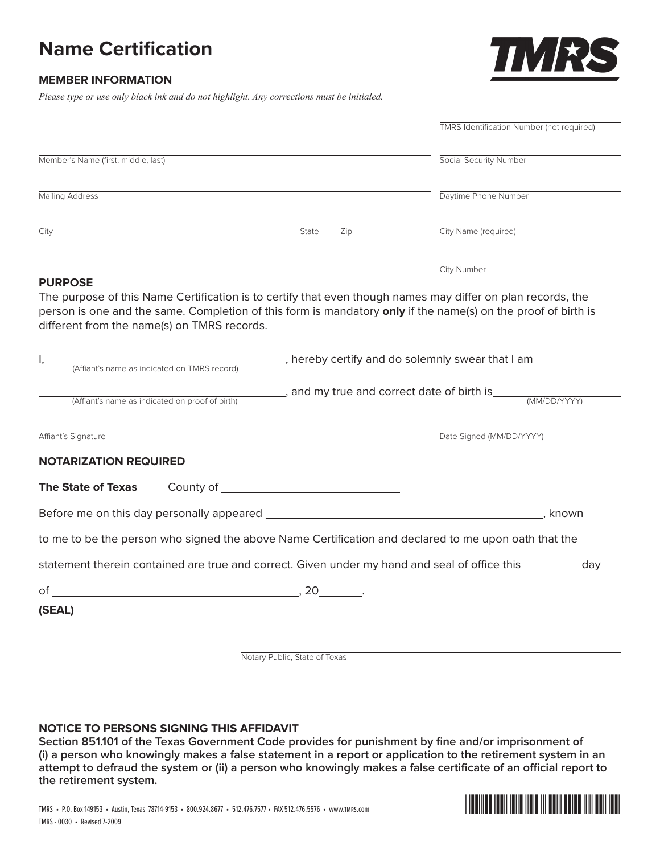# **Name Certification**



#### **Member Information**

*Please type or use only black ink and do not highlight. Any corrections must be initialed.*

|                                                                                                                                                                                                                                                                             |                                                          | <b>TMRS Identification Number (not required)</b>                                                             |
|-----------------------------------------------------------------------------------------------------------------------------------------------------------------------------------------------------------------------------------------------------------------------------|----------------------------------------------------------|--------------------------------------------------------------------------------------------------------------|
| Member's Name (first, middle, last)                                                                                                                                                                                                                                         |                                                          | <b>Social Security Number</b>                                                                                |
| <b>Mailing Address</b>                                                                                                                                                                                                                                                      |                                                          | Daytime Phone Number                                                                                         |
| City                                                                                                                                                                                                                                                                        | State<br>$\overline{Zip}$                                | City Name (required)                                                                                         |
| <b>PURPOSE</b>                                                                                                                                                                                                                                                              |                                                          | City Number                                                                                                  |
| The purpose of this Name Certification is to certify that even though names may differ on plan records, the<br>person is one and the same. Completion of this form is mandatory only if the name(s) on the proof of birth is<br>different from the name(s) on TMRS records. |                                                          |                                                                                                              |
| (Affiant's name as indicated on TMRS record)                                                                                                                                                                                                                                | ________, hereby certify and do solemnly swear that I am |                                                                                                              |
|                                                                                                                                                                                                                                                                             |                                                          |                                                                                                              |
| (Affiant's name as indicated on proof of birth)                                                                                                                                                                                                                             |                                                          |                                                                                                              |
|                                                                                                                                                                                                                                                                             |                                                          | Date Signed (MM/DD/YYYY)                                                                                     |
|                                                                                                                                                                                                                                                                             |                                                          |                                                                                                              |
|                                                                                                                                                                                                                                                                             |                                                          |                                                                                                              |
|                                                                                                                                                                                                                                                                             |                                                          | . known                                                                                                      |
|                                                                                                                                                                                                                                                                             |                                                          |                                                                                                              |
|                                                                                                                                                                                                                                                                             |                                                          | statement therein contained are true and correct. Given under my hand and seal of office this ___________day |
| Affiant's Signature<br><b>NOTARIZATION REQUIRED</b><br><b>The State of Texas</b><br>to me to be the person who signed the above Name Certification and declared to me upon oath that the                                                                                    |                                                          |                                                                                                              |
| (SEAL)                                                                                                                                                                                                                                                                      |                                                          |                                                                                                              |

Notary Public, State of Texas

#### **Notice to Persons Signing This Affidavit**

**Section 851.101 of the Texas Government Code provides for punishment by fine and/or imprisonment of (i) a person who knowingly makes a false statement in a report or application to the retirement system in an attempt to defraud the system or (ii) a person who knowingly makes a false certificate of an official report to the retirement system.**